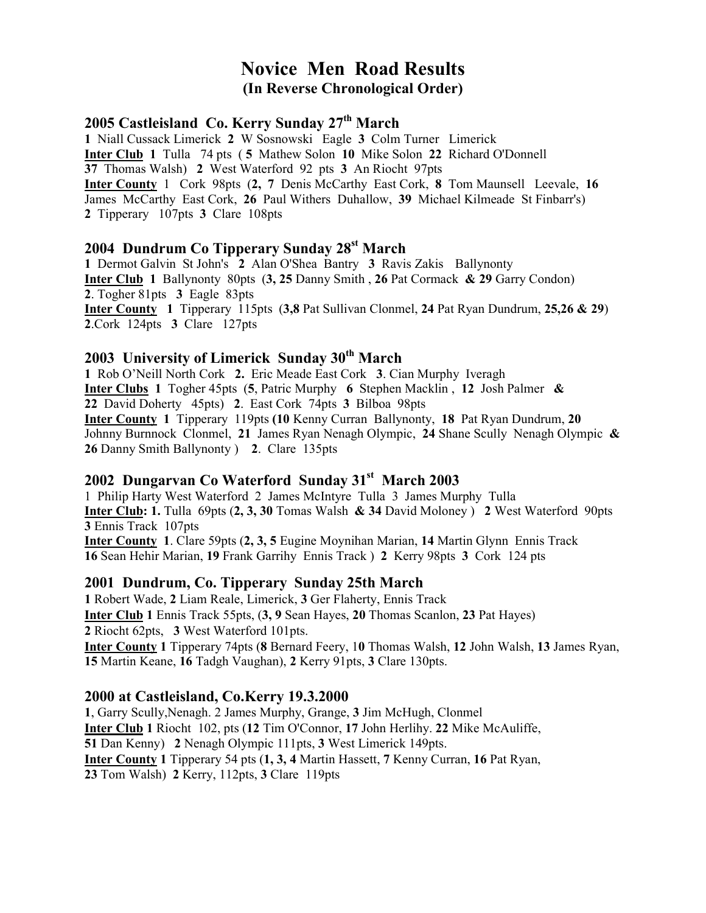# Novice Men Road Results (In Reverse Chronological Order)

### 2005 Castleisland Co. Kerry Sunday 27<sup>th</sup> March

1 Niall Cussack Limerick 2 W Sosnowski Eagle 3 Colm Turner Limerick Inter Club 1 Tulla 74 pts ( 5 Mathew Solon 10 Mike Solon 22 Richard O'Donnell 37 Thomas Walsh) 2 West Waterford 92 pts 3 An Riocht 97pts Inter County 1 Cork 98pts (2, 7 Denis McCarthy East Cork, 8 Tom Maunsell Leevale, 16 James McCarthy East Cork, 26 Paul Withers Duhallow, 39 Michael Kilmeade St Finbarr's) 2 Tipperary 107pts 3 Clare 108pts

### 2004 Dundrum Co Tipperary Sunday 28<sup>st</sup> March

1 Dermot Galvin St John's 2 Alan O'Shea Bantry 3 Ravis Zakis Ballynonty Inter Club 1 Ballynonty 80pts (3, 25 Danny Smith , 26 Pat Cormack & 29 Garry Condon) 2. Togher 81pts 3 Eagle 83pts Inter County 1 Tipperary 115pts (3,8 Pat Sullivan Clonmel, 24 Pat Ryan Dundrum, 25,26 & 29) 2.Cork 124pts 3 Clare 127pts

# 2003 University of Limerick Sunday 30<sup>th</sup> March

1 Rob O'Neill North Cork 2. Eric Meade East Cork 3. Cian Murphy Iveragh Inter Clubs 1 Togher 45pts (5, Patric Murphy 6 Stephen Macklin , 12 Josh Palmer & 22 David Doherty 45pts) 2. East Cork 74pts 3 Bilboa 98pts Inter County 1 Tipperary 119pts (10 Kenny Curran Ballynonty, 18 Pat Ryan Dundrum, 20 Johnny Burnnock Clonmel, 21 James Ryan Nenagh Olympic, 24 Shane Scully Nenagh Olympic  $\&$ 26 Danny Smith Ballynonty ) 2. Clare 135pts

### 2002 Dungarvan Co Waterford Sunday 31<sup>st</sup> March 2003

1 Philip Harty West Waterford 2 James McIntyre Tulla 3 James Murphy Tulla Inter Club: 1. Tulla 69pts (2, 3, 30 Tomas Walsh & 34 David Moloney ) 2 West Waterford 90pts 3 Ennis Track 107pts Inter County 1. Clare 59pts (2, 3, 5 Eugine Moynihan Marian, 14 Martin Glynn Ennis Track

16 Sean Hehir Marian, 19 Frank Garrihy Ennis Track ) 2 Kerry 98pts 3 Cork 124 pts

### 2001 Dundrum, Co. Tipperary Sunday 25th March

1 Robert Wade, 2 Liam Reale, Limerick, 3 Ger Flaherty, Ennis Track Inter Club 1 Ennis Track 55pts, (3, 9 Sean Hayes, 20 Thomas Scanlon, 23 Pat Hayes) 2 Riocht 62pts, 3 West Waterford 101pts. **Inter County 1** Tipperary 74pts (8 Bernard Feery, 10 Thomas Walsh, 12 John Walsh, 13 James Ryan, 15 Martin Keane, 16 Tadgh Vaughan), 2 Kerry 91pts, 3 Clare 130pts.

### 2000 at Castleisland, Co.Kerry 19.3.2000

1, Garry Scully,Nenagh. 2 James Murphy, Grange, 3 Jim McHugh, Clonmel Inter Club 1 Riocht 102, pts (12 Tim O'Connor, 17 John Herlihy. 22 Mike McAuliffe, 51 Dan Kenny) 2 Nenagh Olympic 111pts, 3 West Limerick 149pts. Inter County 1 Tipperary 54 pts (1, 3, 4 Martin Hassett, 7 Kenny Curran, 16 Pat Ryan, 23 Tom Walsh) 2 Kerry, 112pts, 3 Clare 119pts